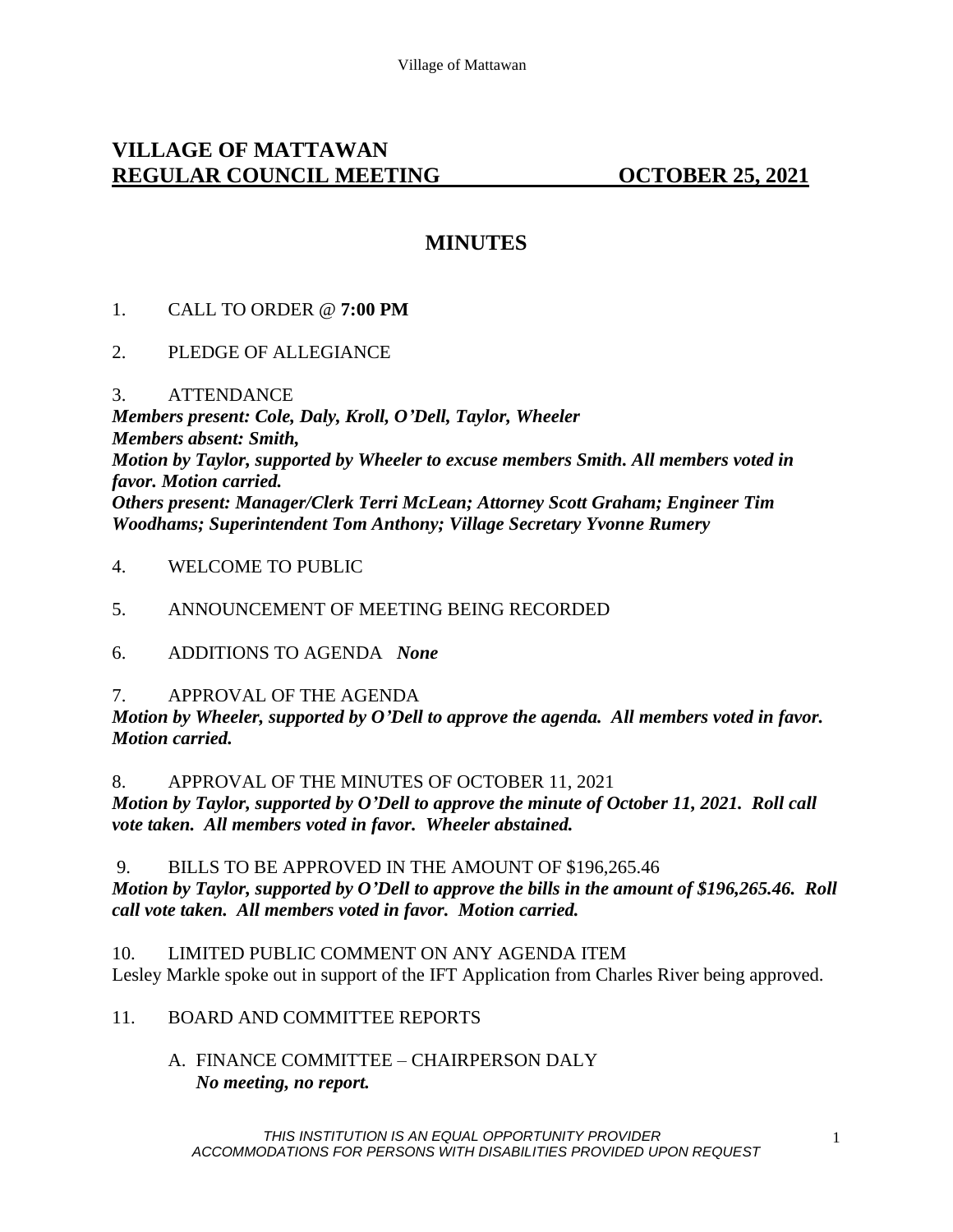# **VILLAGE OF MATTAWAN REGULAR COUNCIL MEETING OCTOBER 25, 2021**

# **MINUTES**

### 1. CALL TO ORDER @ **7:00 PM**

- 2. PLEDGE OF ALLEGIANCE
- 3. ATTENDANCE

*Members present: Cole, Daly, Kroll, O'Dell, Taylor, Wheeler Members absent: Smith, Motion by Taylor, supported by Wheeler to excuse members Smith. All members voted in favor. Motion carried. Others present: Manager/Clerk Terri McLean; Attorney Scott Graham; Engineer Tim Woodhams; Superintendent Tom Anthony; Village Secretary Yvonne Rumery*

4. WELCOME TO PUBLIC

### 5. ANNOUNCEMENT OF MEETING BEING RECORDED

6. ADDITIONS TO AGENDA *None*

### 7. APPROVAL OF THE AGENDA

*Motion by Wheeler, supported by O'Dell to approve the agenda. All members voted in favor. Motion carried.* 

8. APPROVAL OF THE MINUTES OF OCTOBER 11, 2021

*Motion by Taylor, supported by O'Dell to approve the minute of October 11, 2021. Roll call vote taken. All members voted in favor. Wheeler abstained.* 

9. BILLS TO BE APPROVED IN THE AMOUNT OF \$196,265.46 *Motion by Taylor, supported by O'Dell to approve the bills in the amount of \$196,265.46. Roll call vote taken. All members voted in favor. Motion carried.*

10. LIMITED PUBLIC COMMENT ON ANY AGENDA ITEM Lesley Markle spoke out in support of the IFT Application from Charles River being approved.

### 11. BOARD AND COMMITTEE REPORTS

A. FINANCE COMMITTEE – CHAIRPERSON DALY *No meeting, no report.*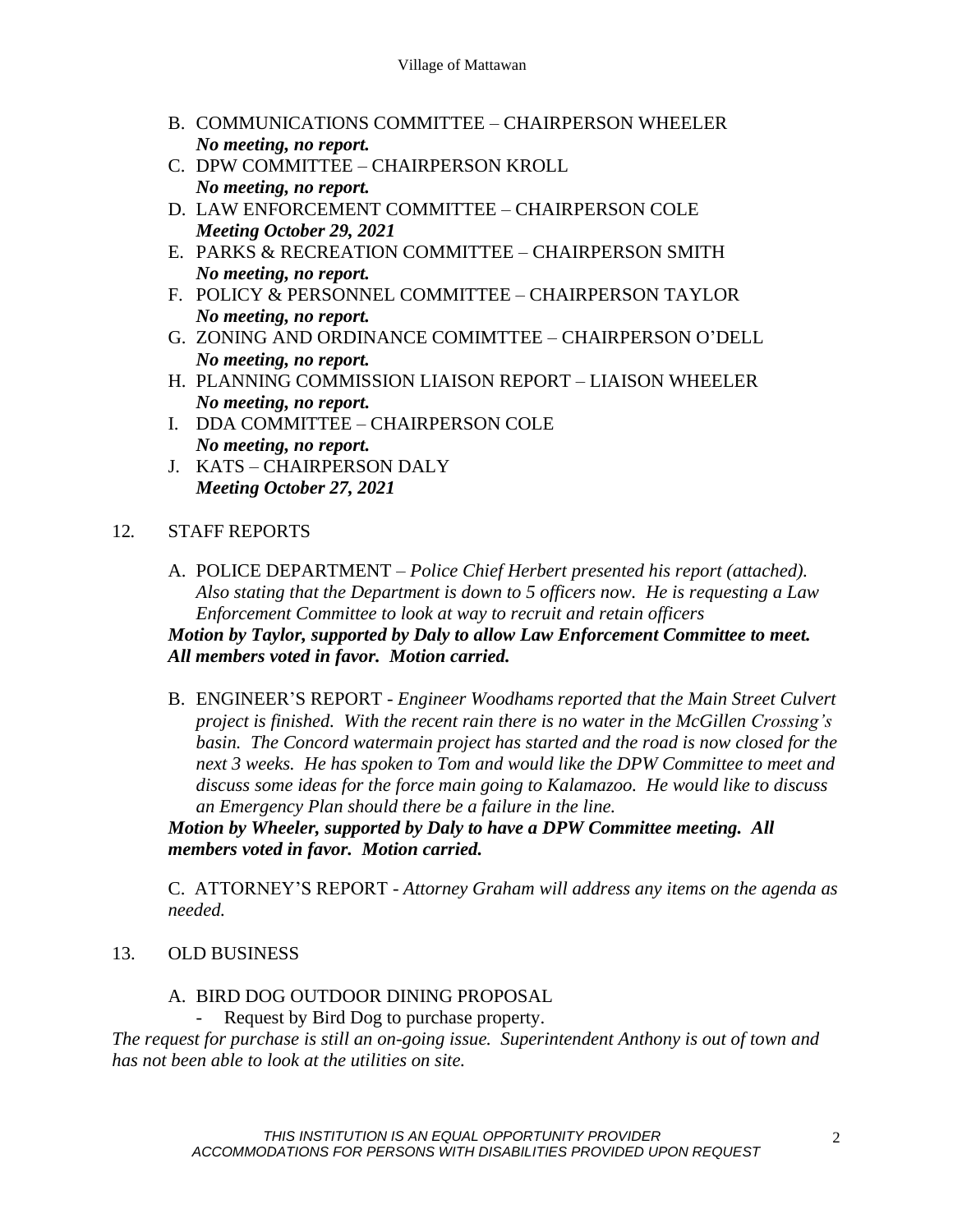- B. COMMUNICATIONS COMMITTEE CHAIRPERSON WHEELER *No meeting, no report.*
- C. DPW COMMITTEE CHAIRPERSON KROLL *No meeting, no report.*
- D. LAW ENFORCEMENT COMMITTEE CHAIRPERSON COLE *Meeting October 29, 2021*
- E. PARKS & RECREATION COMMITTEE CHAIRPERSON SMITH *No meeting, no report.*
- F. POLICY & PERSONNEL COMMITTEE CHAIRPERSON TAYLOR *No meeting, no report.*
- G. ZONING AND ORDINANCE COMIMTTEE CHAIRPERSON O'DELL *No meeting, no report.*
- H. PLANNING COMMISSION LIAISON REPORT LIAISON WHEELER *No meeting, no report.*
- I. DDA COMMITTEE CHAIRPERSON COLE *No meeting, no report.*
- J. KATS CHAIRPERSON DALY *Meeting October 27, 2021*

## 12*.* STAFF REPORTS

- A. POLICE DEPARTMENT *Police Chief Herbert presented his report (attached). Also stating that the Department is down to 5 officers now. He is requesting a Law Enforcement Committee to look at way to recruit and retain officers Motion by Taylor, supported by Daly to allow Law Enforcement Committee to meet. All members voted in favor. Motion carried.*
- B. ENGINEER'S REPORT *- Engineer Woodhams reported that the Main Street Culvert project is finished. With the recent rain there is no water in the McGillen Crossing's basin. The Concord watermain project has started and the road is now closed for the next 3 weeks. He has spoken to Tom and would like the DPW Committee to meet and discuss some ideas for the force main going to Kalamazoo. He would like to discuss an Emergency Plan should there be a failure in the line.*

*Motion by Wheeler, supported by Daly to have a DPW Committee meeting. All members voted in favor. Motion carried.* 

C. ATTORNEY'S REPORT - *Attorney Graham will address any items on the agenda as needed.* 

## 13. OLD BUSINESS

### A. BIRD DOG OUTDOOR DINING PROPOSAL

Request by Bird Dog to purchase property.

*The request for purchase is still an on-going issue. Superintendent Anthony is out of town and has not been able to look at the utilities on site.*